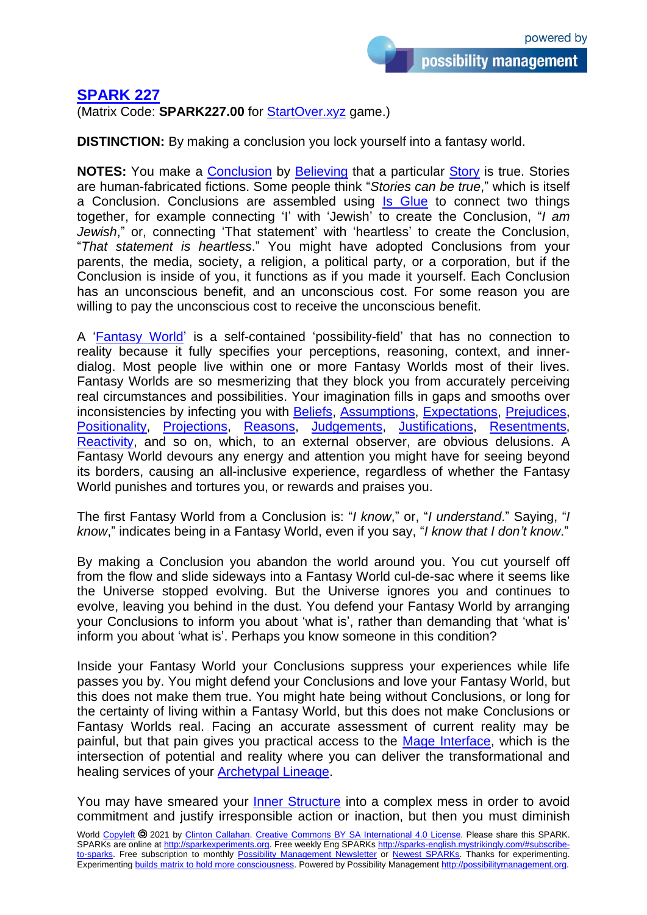## **[SPARK 227](https://sparks-english.mystrikingly.com/)**

(Matrix Code: **SPARK227.00** for [StartOver.xyz](http://startoverxyz.mystrikingly.com/) game.)

**DISTINCTION:** By making a conclusion you lock yourself into a fantasy world.

**NOTES:** You make a **[Conclusion](http://conclusions.mystrikingly.com/)** by **[Believing](http://beliefs.mystrikingly.com/)** that a particular **Story** is true. Stories are human-fabricated fictions. Some people think "*Stories can be true*," which is itself a Conclusion. Conclusions are assembled using Is [Glue](http://isglue.mystrikingly.com/) to connect two things together, for example connecting 'I' with 'Jewish' to create the Conclusion, "*I am Jewish*," or, connecting 'That statement' with 'heartless' to create the Conclusion, "*That statement is heartless*." You might have adopted Conclusions from your parents, the media, society, a religion, a political party, or a corporation, but if the Conclusion is inside of you, it functions as if you made it yourself. Each Conclusion has an unconscious benefit, and an unconscious cost. For some reason you are willing to pay the unconscious cost to receive the unconscious benefit.

A ['Fantasy World'](http://fantasyworlds.mystrikingly.com/) is a self-contained 'possibility-field' that has no connection to reality because it fully specifies your perceptions, reasoning, context, and innerdialog. Most people live within one or more Fantasy Worlds most of their lives. Fantasy Worlds are so mesmerizing that they block you from accurately perceiving real circumstances and possibilities. Your imagination fills in gaps and smooths over inconsistencies by infecting you with [Beliefs,](http://beliefs.mystrikingly.com/) [Assumptions,](http://assumptions.mystrikingly.com/) [Expectations,](http://expectations.mystrikingly.com/) [Prejudices,](http://prejudices.mystrikingly.com/) [Positionality,](http://positionality.mystrikingly.com/) [Projections,](http://projections.mystrikingly.com/) [Reasons,](http://reasons.mystrikingly.com/) [Judgements,](http://judgements.mystrikingly.com/) [Justifications,](http://justifications.mystrikingly.com/) [Resentments,](http://resentments.mystrikingly.com/) [Reactivity,](http://reactivity.mystrikingly.com/) and so on, which, to an external observer, are obvious delusions. A Fantasy World devours any energy and attention you might have for seeing beyond its borders, causing an all-inclusive experience, regardless of whether the Fantasy World punishes and tortures you, or rewards and praises you.

The first Fantasy World from a Conclusion is: "*I know*," or, "*I understand*." Saying, "*I know*," indicates being in a Fantasy World, even if you say, "*I know that I don't know*."

By making a Conclusion you abandon the world around you. You cut yourself off from the flow and slide sideways into a Fantasy World cul-de-sac where it seems like the Universe stopped evolving. But the Universe ignores you and continues to evolve, leaving you behind in the dust. You defend your Fantasy World by arranging your Conclusions to inform you about 'what is', rather than demanding that 'what is' inform you about 'what is'. Perhaps you know someone in this condition?

Inside your Fantasy World your Conclusions suppress your experiences while life passes you by. You might defend your Conclusions and love your Fantasy World, but this does not make them true. You might hate being without Conclusions, or long for the certainty of living within a Fantasy World, but this does not make Conclusions or Fantasy Worlds real. Facing an accurate assessment of current reality may be painful, but that pain gives you practical access to the [Mage Interface,](http://magetraining.mystrikingly.com/) which is the intersection of potential and reality where you can deliver the transformational and healing services of your [Archetypal Lineage.](http://archetypallineage.mystrikingly.com/)

You may have smeared your [Inner Structure](http://innerstructure.mystrikingly.com/) into a complex mess in order to avoid commitment and justify irresponsible action or inaction, but then you must diminish

World [Copyleft](https://en.wikipedia.org/wiki/Copyleft) <sup>20</sup> 2021 by [Clinton Callahan.](http://clintoncallahan.mystrikingly.com/) Creative Commons [BY SA International 4.0](https://creativecommons.org/licenses/by-sa/4.0/) License. Please share this SPARK. SPARKs are online at [http://sparkexperiments.org.](http://sparks-english.mystrikingly.com/) Free weekly Eng SPARKs [http://sparks-english.mystrikingly.com/#subscribe](http://sparks-english.mystrikingly.com/#subscribe-to-sparks)[to-sparks.](http://sparks-english.mystrikingly.com/#subscribe-to-sparks) Free subscription to monthly [Possibility Management Newsletter](https://possibilitymanagement.org/news/) or Newest [SPARKs.](https://www.clintoncallahan.org/newsletter-1) Thanks for experimenting. Experimenting builds matrix to hold [more consciousness.](http://spaceport.mystrikingly.com/) Powered by Possibility Management [http://possibilitymanagement.org.](http://possibilitymanagement.org/)